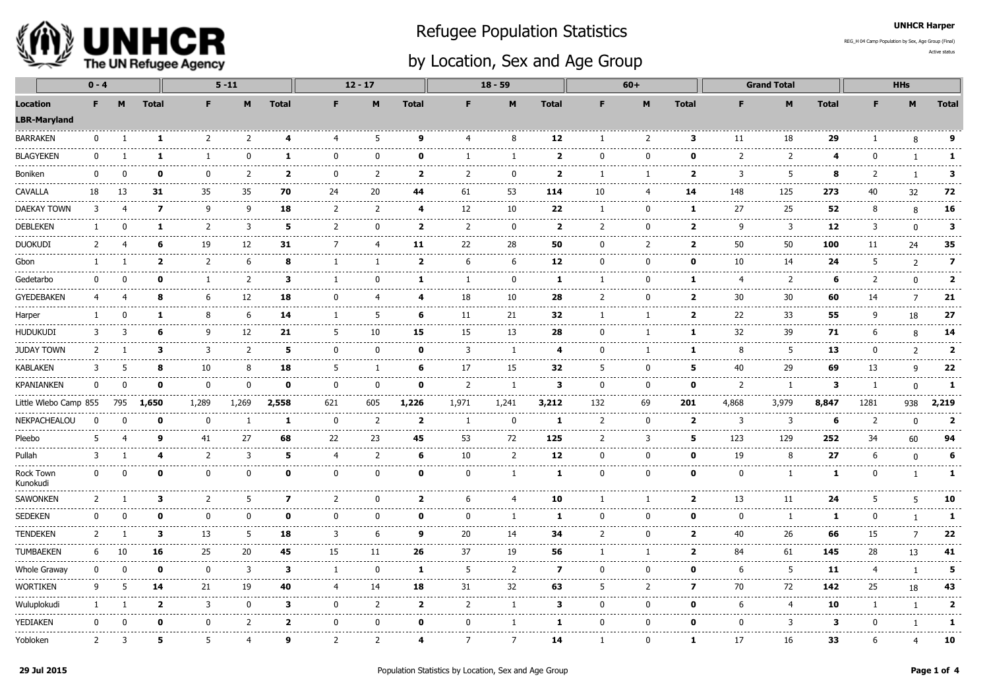

## Refugee Population Statistics

## by Location, Sex and Age Group

Active statusREG\_H 04 Camp Population by Sex, Age Group (Final)

UNHCR Harper

|                                                        | $0 - 4$      |          |                         |                     | $5 - 11$       |                |                     | $12 - 17$                        |                         |                    | $18 - 59$                                                                                                                                                                                                                                                                                                                                                                                          |                         |                | $60+$                  |                                                                                                                                                                                                                                                                                                                                                                                                   |                   | <b>Grand Total</b>      |                                                                                                                                                                                                                                                                                                                                                                                                    |              | <b>HHs</b>                                  |                                      |
|--------------------------------------------------------|--------------|----------|-------------------------|---------------------|----------------|----------------|---------------------|----------------------------------|-------------------------|--------------------|----------------------------------------------------------------------------------------------------------------------------------------------------------------------------------------------------------------------------------------------------------------------------------------------------------------------------------------------------------------------------------------------------|-------------------------|----------------|------------------------|---------------------------------------------------------------------------------------------------------------------------------------------------------------------------------------------------------------------------------------------------------------------------------------------------------------------------------------------------------------------------------------------------|-------------------|-------------------------|----------------------------------------------------------------------------------------------------------------------------------------------------------------------------------------------------------------------------------------------------------------------------------------------------------------------------------------------------------------------------------------------------|--------------|---------------------------------------------|--------------------------------------|
| <b>Location</b><br><b>LBR-Maryland</b><br>------------ | F.           |          | <b>Total</b>            | F.                  | M              | <b>Total</b>   | F                   | M                                | <b>Total</b>            | F.                 | M                                                                                                                                                                                                                                                                                                                                                                                                  | <b>Total</b>            | F.             | M                      | <b>Total</b>                                                                                                                                                                                                                                                                                                                                                                                      | F.                | M                       | <b>Total</b>                                                                                                                                                                                                                                                                                                                                                                                       | F            | M                                           | <b>Total</b>                         |
| <b>BARRAKEN</b>                                        | $\Omega$     |          | $\mathbf{1}$            | 2                   | $\overline{z}$ | 4              | 4                   | .5                               | 9                       | Δ                  | 8                                                                                                                                                                                                                                                                                                                                                                                                  | 12                      | -1             | 2                      | 3                                                                                                                                                                                                                                                                                                                                                                                                 | 11                | 18                      | 29                                                                                                                                                                                                                                                                                                                                                                                                 |              | 8                                           | 9                                    |
| <b>BLAGYEKEN</b>                                       | n            |          | 1                       | 1                   | ŋ              | 1              | $\Omega$            | <sup>0</sup>                     | ŋ                       |                    | -1                                                                                                                                                                                                                                                                                                                                                                                                 | $\mathbf{2}$            | $\Omega$       | $\Omega$               | 0                                                                                                                                                                                                                                                                                                                                                                                                 | 2                 | 2                       | 4                                                                                                                                                                                                                                                                                                                                                                                                  | n            | $\mathbf{1}$                                | 1                                    |
| Boniken                                                | n            |          | ŋ                       | $\Omega$            | 2              | $\overline{2}$ | 0                   | $\overline{2}$                   | $\mathbf{2}$            | 2                  | $\Omega$                                                                                                                                                                                                                                                                                                                                                                                           | $\overline{\mathbf{2}}$ | 1              | ı                      | $\overline{\mathbf{2}}$                                                                                                                                                                                                                                                                                                                                                                           | 3                 | 5                       | 8                                                                                                                                                                                                                                                                                                                                                                                                  |              |                                             | 3                                    |
| CAVALLA                                                | 18           | 13       | 31                      | 35                  | 35             | 70             | 24                  | 20                               | 44                      | 61                 | 53                                                                                                                                                                                                                                                                                                                                                                                                 | 114                     | 10             | 4                      | 14                                                                                                                                                                                                                                                                                                                                                                                                | 148               | 125                     | 273                                                                                                                                                                                                                                                                                                                                                                                                | 40           | 32                                          | 72                                   |
| <b>DAEKAY TOWN</b>                                     | 3            | 4        | $\overline{\mathbf{z}}$ | 9                   | 9              | 18             | 2                   | 2                                | $\overline{a}$          | 12                 | 10                                                                                                                                                                                                                                                                                                                                                                                                 | 22                      | 1              | 0                      | 1                                                                                                                                                                                                                                                                                                                                                                                                 | 27                | 25                      | 52                                                                                                                                                                                                                                                                                                                                                                                                 | 8            | 8                                           | $- - - - -$<br>16                    |
| <b>DEBLEKEN</b>                                        | -1           | n        | 1                       | $\overline{2}$      | 3              | 5              | 2                   | $\mathbf{0}$                     | $\overline{\mathbf{2}}$ | $\overline{2}$     | $\mathbf{0}$                                                                                                                                                                                                                                                                                                                                                                                       | $\overline{2}$          | $\overline{2}$ | $\mathbf{0}$           | $\overline{\mathbf{2}}$                                                                                                                                                                                                                                                                                                                                                                           | 9                 | -----<br>3              | ----<br>12                                                                                                                                                                                                                                                                                                                                                                                         | 3            | $\Omega$                                    | .<br>3                               |
| <b>DUOKUDI</b>                                         | 2            |          | 6                       | 19                  | 12             | 31             | 7                   | $\overline{\mathbf{4}}$          | 11                      | 22                 | 28                                                                                                                                                                                                                                                                                                                                                                                                 | 50                      | 0              | 2                      | $\overline{\mathbf{2}}$                                                                                                                                                                                                                                                                                                                                                                           | 50                | 50                      | -----<br>100                                                                                                                                                                                                                                                                                                                                                                                       | 11           | 24                                          | ------<br>35                         |
| Gbon                                                   | -1           |          | $\mathbf{2}$            | 2                   | 6              | 8              | -1                  | -1                               | $\overline{2}$          | 6                  | 6                                                                                                                                                                                                                                                                                                                                                                                                  | 12                      | $\Omega$       | $\Omega$               | 0                                                                                                                                                                                                                                                                                                                                                                                                 | 10                | 14                      | 24                                                                                                                                                                                                                                                                                                                                                                                                 | -5           | $\overline{2}$                              | -----<br>$\overline{7}$<br>--------- |
| Gedetarbo                                              | $\Omega$     |          | O                       | 1                   | $\overline{2}$ | з              | -1                  | $\Omega$                         | -1                      |                    | $\Omega$                                                                                                                                                                                                                                                                                                                                                                                           | 1                       | -1             | $\Omega$               | 1                                                                                                                                                                                                                                                                                                                                                                                                 | 4                 | 2                       | 6                                                                                                                                                                                                                                                                                                                                                                                                  | 2            | $\Omega$                                    | $\overline{2}$                       |
| <b>GYEDEBAKEN</b>                                      | 4            |          | я                       | 6                   | 12             | 18             | $\Omega$            | 4                                | Δ                       | 18                 | 10<br>-----                                                                                                                                                                                                                                                                                                                                                                                        | 28                      | 2              | n                      | $\overline{\mathbf{2}}$                                                                                                                                                                                                                                                                                                                                                                           | 30                | 30                      | 60                                                                                                                                                                                                                                                                                                                                                                                                 | 14           | $\overline{7}$                              | 21<br>.                              |
| Harper                                                 | -1           |          | 1                       | 8                   | 6              | 14             | -1                  | 5                                | 6                       | 11                 | 21                                                                                                                                                                                                                                                                                                                                                                                                 | 32                      | -1             | -1                     | $\overline{\mathbf{2}}$                                                                                                                                                                                                                                                                                                                                                                           | $- - - - -$<br>22 | ----<br>33              | 55                                                                                                                                                                                                                                                                                                                                                                                                 | q            | 18                                          | 27                                   |
| <b>HUDUKUDI</b>                                        | 3            | З        | 6                       | 9                   | 12             | 21             | 5                   | 10                               | -----<br>15             | 15                 | 13                                                                                                                                                                                                                                                                                                                                                                                                 | 28                      | 0              | 1                      | 1                                                                                                                                                                                                                                                                                                                                                                                                 | .<br>32           | ------<br>39            | 71                                                                                                                                                                                                                                                                                                                                                                                                 | 6            | 8                                           | --------<br>14                       |
| <b>JUDAY TOWN</b>                                      | 2            |          | з                       | 3                   | $\overline{2}$ | 5              | 0                   | $\Omega$                         | 0                       | 3                  | -1                                                                                                                                                                                                                                                                                                                                                                                                 | 4                       | 0              |                        | 1                                                                                                                                                                                                                                                                                                                                                                                                 | 8                 | -5                      | $\frac{1}{2} \frac{1}{2} \frac{1}{2} \frac{1}{2} \frac{1}{2} \frac{1}{2} \frac{1}{2} \frac{1}{2} \frac{1}{2} \frac{1}{2} \frac{1}{2} \frac{1}{2} \frac{1}{2} \frac{1}{2} \frac{1}{2} \frac{1}{2} \frac{1}{2} \frac{1}{2} \frac{1}{2} \frac{1}{2} \frac{1}{2} \frac{1}{2} \frac{1}{2} \frac{1}{2} \frac{1}{2} \frac{1}{2} \frac{1}{2} \frac{1}{2} \frac{1}{2} \frac{1}{2} \frac{1}{2} \frac{$<br>13 | $\Omega$     | 2                                           | ------<br>$\overline{2}$             |
| <b>KABLAKEN</b>                                        | 3            | 5        | 8                       | 10                  | 8              | 18             | 5                   | $\mathbf{1}$                     | 6                       | 17                 | 15                                                                                                                                                                                                                                                                                                                                                                                                 | 32                      | -5             | $\Omega$               | 5                                                                                                                                                                                                                                                                                                                                                                                                 | 40                | 29                      | 69                                                                                                                                                                                                                                                                                                                                                                                                 | 13           | 9                                           | $- - - - - -$<br>22                  |
| <b>KPANIANKEN</b>                                      | 0            | $\Omega$ | 0                       | $\Omega$            | $\mathbf 0$    | 0              | $\Omega$            | $\mathbf 0$                      | 0                       | $\overline{2}$     | -1                                                                                                                                                                                                                                                                                                                                                                                                 | 3                       | $\mathbf 0$    | 0                      | 0                                                                                                                                                                                                                                                                                                                                                                                                 | 2                 | 1                       | 3                                                                                                                                                                                                                                                                                                                                                                                                  | -1           | 0                                           | 1                                    |
| Little Wlebo Camp 855                                  |              | 795      | 1,650                   | 1,289               | 1,269          | 2,558          | 621                 | 605                              | 1,226                   | 1,971              | 1,241                                                                                                                                                                                                                                                                                                                                                                                              | 3,212                   | 132            | 69                     | 201                                                                                                                                                                                                                                                                                                                                                                                               | 4,868             | 3,979                   | 8,847                                                                                                                                                                                                                                                                                                                                                                                              | 1281         | 938                                         | 2,219                                |
| NEKPACHEALOU                                           | ∩            |          | ŋ                       | 0                   | -1             | 1              | 0<br>$---$          | 2                                | $\overline{\mathbf{2}}$ |                    | $\Omega$<br>-----                                                                                                                                                                                                                                                                                                                                                                                  | 1                       | $\overline{2}$ | $\Omega$               | $\overline{\mathbf{2}}$                                                                                                                                                                                                                                                                                                                                                                           | 3                 | 3                       | 6                                                                                                                                                                                                                                                                                                                                                                                                  | 2            | $\Omega$                                    | $\overline{\mathbf{2}}$<br>.         |
| Pleebo                                                 | 5            |          | 9                       | .<br>41             | 27<br>.        | 68             | 22                  | 23<br>----------                 | 45<br>------            | 53<br>.            | 72<br>$\frac{1}{2} \frac{1}{2} \frac{1}{2} \frac{1}{2} \frac{1}{2} \frac{1}{2} \frac{1}{2} \frac{1}{2} \frac{1}{2} \frac{1}{2} \frac{1}{2} \frac{1}{2} \frac{1}{2} \frac{1}{2} \frac{1}{2} \frac{1}{2} \frac{1}{2} \frac{1}{2} \frac{1}{2} \frac{1}{2} \frac{1}{2} \frac{1}{2} \frac{1}{2} \frac{1}{2} \frac{1}{2} \frac{1}{2} \frac{1}{2} \frac{1}{2} \frac{1}{2} \frac{1}{2} \frac{1}{2} \frac{$ | 125<br>.                | 2<br>.         | 3<br>.                 | 5                                                                                                                                                                                                                                                                                                                                                                                                 | 123<br>-------    | .<br>129<br>----------  | $- - - -$<br>252<br>. <b>.</b>                                                                                                                                                                                                                                                                                                                                                                     | 34           | 60<br>---------------------                 | 94                                   |
| Pullah<br>.                                            | 3            |          | 4                       | $\overline{2}$<br>. | 3<br>--------  | .<br>5         | $\overline{4}$<br>. | $\overline{2}$<br>-------------- | 6<br>-----              | 10<br>. <u>.</u> . | $\overline{2}$<br>------                                                                                                                                                                                                                                                                                                                                                                           | 12<br>.                 | 0<br>------    | $\mathbf{0}$<br>------ | 0<br>$\frac{1}{2} \frac{1}{2} \frac{1}{2} \frac{1}{2} \frac{1}{2} \frac{1}{2} \frac{1}{2} \frac{1}{2} \frac{1}{2} \frac{1}{2} \frac{1}{2} \frac{1}{2} \frac{1}{2} \frac{1}{2} \frac{1}{2} \frac{1}{2} \frac{1}{2} \frac{1}{2} \frac{1}{2} \frac{1}{2} \frac{1}{2} \frac{1}{2} \frac{1}{2} \frac{1}{2} \frac{1}{2} \frac{1}{2} \frac{1}{2} \frac{1}{2} \frac{1}{2} \frac{1}{2} \frac{1}{2} \frac{$ | 19<br>.           | 8<br>.                  | 27<br>.                                                                                                                                                                                                                                                                                                                                                                                            | 6            | $\mathbf{0}$<br>--------------------------- | 6                                    |
| Rock Town<br>Kunokudi                                  | 0            | 0        | 0                       | $\mathbf 0$         | $\mathbf 0$    | 0              | $\mathbf 0$         | $\mathbf 0$                      | 0                       | $\mathbf 0$        | 1                                                                                                                                                                                                                                                                                                                                                                                                  | 1                       | $\mathbf 0$    | $\mathbf{0}$           | 0                                                                                                                                                                                                                                                                                                                                                                                                 | $\mathbf 0$       | -1                      | 1                                                                                                                                                                                                                                                                                                                                                                                                  | 0            | -1                                          | 1                                    |
| <b>SAWONKEN</b>                                        | 2            |          | 3                       | $\overline{2}$      | 5              | 7              | 2                   | n                                | 2                       | 6                  | 4                                                                                                                                                                                                                                                                                                                                                                                                  | 10                      | -1             | -1                     | $\overline{\mathbf{2}}$                                                                                                                                                                                                                                                                                                                                                                           | 13                | 11                      | 24                                                                                                                                                                                                                                                                                                                                                                                                 | 5            | 5                                           | 10<br>.                              |
| <b>SEDEKEN</b>                                         | $\mathbf{0}$ | ŋ        | 0                       | $\Omega$            | $\Omega$       | 0              | $\Omega$            | $\Omega$                         | 0                       | $\Omega$           | 1                                                                                                                                                                                                                                                                                                                                                                                                  | 1                       | $\Omega$       | $\Omega$               | $\Omega$                                                                                                                                                                                                                                                                                                                                                                                          | $\Omega$          | $\overline{1}$          | 1                                                                                                                                                                                                                                                                                                                                                                                                  | <sup>0</sup> | 1                                           | 1                                    |
| <b>TENDEKEN</b>                                        | 2            |          | 3                       | 13                  | 5              | 18             | 3                   | 6                                | 9                       | 20                 | 14                                                                                                                                                                                                                                                                                                                                                                                                 | 34                      | $\overline{2}$ | $\mathbf{0}$           | $\overline{\mathbf{2}}$                                                                                                                                                                                                                                                                                                                                                                           | 40                | 26                      | 66                                                                                                                                                                                                                                                                                                                                                                                                 | 15           | 7                                           | 22                                   |
| <b>TUMBAEKEN</b>                                       | 6            | 10       | 16                      | 25                  | 20             | 45             | 15                  | 11                               | 26                      | 37                 | 19                                                                                                                                                                                                                                                                                                                                                                                                 | 56                      | 1              | 1                      | $\overline{\mathbf{2}}$                                                                                                                                                                                                                                                                                                                                                                           | 84                | 61                      | 145                                                                                                                                                                                                                                                                                                                                                                                                | 28           | 13                                          | 41                                   |
| Whole Graway                                           | 0            | O        | $\mathbf{o}$            | $\mathbf 0$         | $\overline{3}$ | 3              | 1                   | $\mathbf{0}$                     | 1                       | 5                  | 2                                                                                                                                                                                                                                                                                                                                                                                                  | $\overline{ }$          | $\mathbf 0$    | $\mathbf 0$            | $\mathbf{0}$                                                                                                                                                                                                                                                                                                                                                                                      | 6                 | 5                       | 11                                                                                                                                                                                                                                                                                                                                                                                                 | 4            | $\mathbf{1}$                                | 5<br>.                               |
| <b>WORTIKEN</b>                                        | 9            | 5        | 14                      | 21                  | 19             | 40             | 4                   | 14                               | 18                      | 31                 | 32                                                                                                                                                                                                                                                                                                                                                                                                 | 63                      | 5              | $\overline{2}$         | 7                                                                                                                                                                                                                                                                                                                                                                                                 | 70                | 72                      | 142                                                                                                                                                                                                                                                                                                                                                                                                | 25           | 18                                          | 43                                   |
| Wuluplokudi                                            | -1           |          | $\overline{\mathbf{2}}$ | -----<br>3          | $\mathbf{0}$   | 3              | $\mathbf{0}$        | 2                                | $\overline{2}$          | 2                  | ----<br>$\mathbf{1}$                                                                                                                                                                                                                                                                                                                                                                               | 3                       | $\mathbf{0}$   | $\Omega$               | 0                                                                                                                                                                                                                                                                                                                                                                                                 | 6                 | -----<br>$\overline{4}$ | 10                                                                                                                                                                                                                                                                                                                                                                                                 | -1           | -----<br>$\mathbf{1}$                       | -------<br>$\overline{2}$<br>.       |
| YEDIAKEN                                               | n            |          | ŋ                       | $\Omega$            | 2              | 2              | $\Omega$            | $\Omega$                         | 0                       | $\Omega$           | -1                                                                                                                                                                                                                                                                                                                                                                                                 | 1                       | 0              | n                      | 0                                                                                                                                                                                                                                                                                                                                                                                                 | <sup>0</sup>      | 3                       | 3                                                                                                                                                                                                                                                                                                                                                                                                  | n            | 1                                           | 1                                    |
| Yobloken                                               | 2            | 3        | 5                       | 5                   | 4              | 9              | 2                   | 2                                | 4                       | 7                  | 7                                                                                                                                                                                                                                                                                                                                                                                                  | 14                      | -1             | $\Omega$               | 1                                                                                                                                                                                                                                                                                                                                                                                                 | 17                | 16                      | 33                                                                                                                                                                                                                                                                                                                                                                                                 | 6            | 4                                           | ------<br>10                         |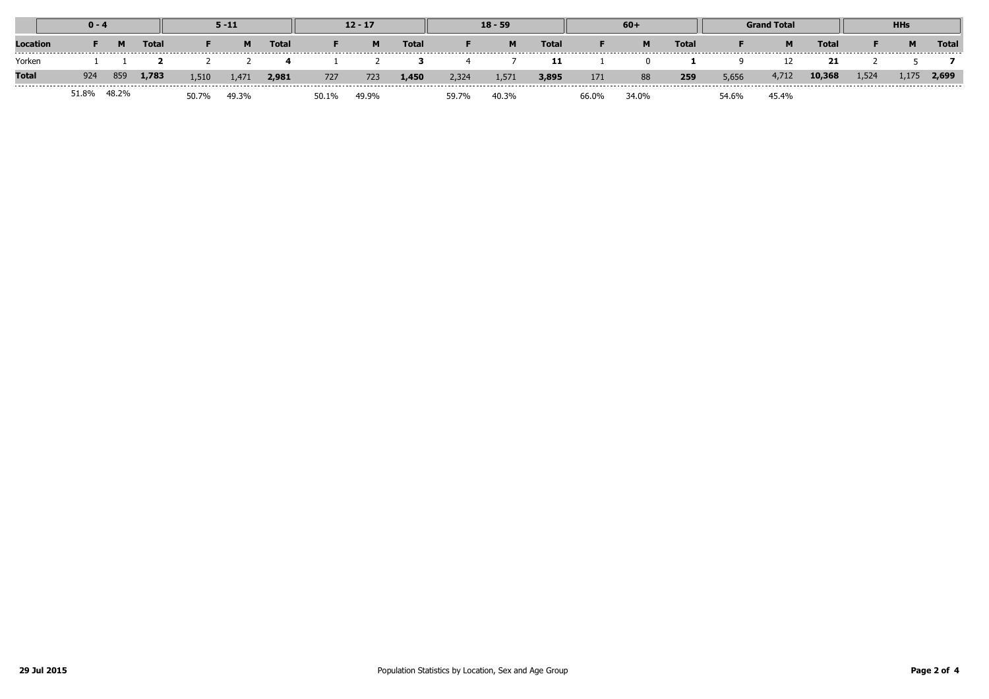|              | $0 - 4$ |       |       | $5 - 11$ |       |              | $12 - 17$ |       |              | $18 - 59$ |       |              | $60+$ |       |              | <b>Grand Total</b> |       |              | <b>HHs</b> |       |              |
|--------------|---------|-------|-------|----------|-------|--------------|-----------|-------|--------------|-----------|-------|--------------|-------|-------|--------------|--------------------|-------|--------------|------------|-------|--------------|
| Location     |         | м     | Total |          | M     | <b>Total</b> |           | M     | <b>Total</b> |           | M     | <b>Total</b> |       | M     | <b>Total</b> |                    | M     | <b>Total</b> |            | M     | <b>Total</b> |
| Yorken       |         |       |       |          |       |              |           |       |              |           |       | 11           |       |       |              |                    |       |              |            |       |              |
| <b>Total</b> | 924     | 859   | 1,783 | 1,510    | 1,471 | 2,981        | 727       | 723   | 1,450        | 2,324     | 1,571 | 3,895        | 171   | 88    | 259          | 5,656              | 4,712 | 10,368       | 1,524      | 1,175 | 2,699        |
|              | 51.8%   | 48.2% |       | 50.7%    | 49.3% |              | 50.1%     | 49.9% |              | 59.7%     | 40.3% |              | 66.0% | 34.0% |              | 54.6%              | 45.4% |              |            |       |              |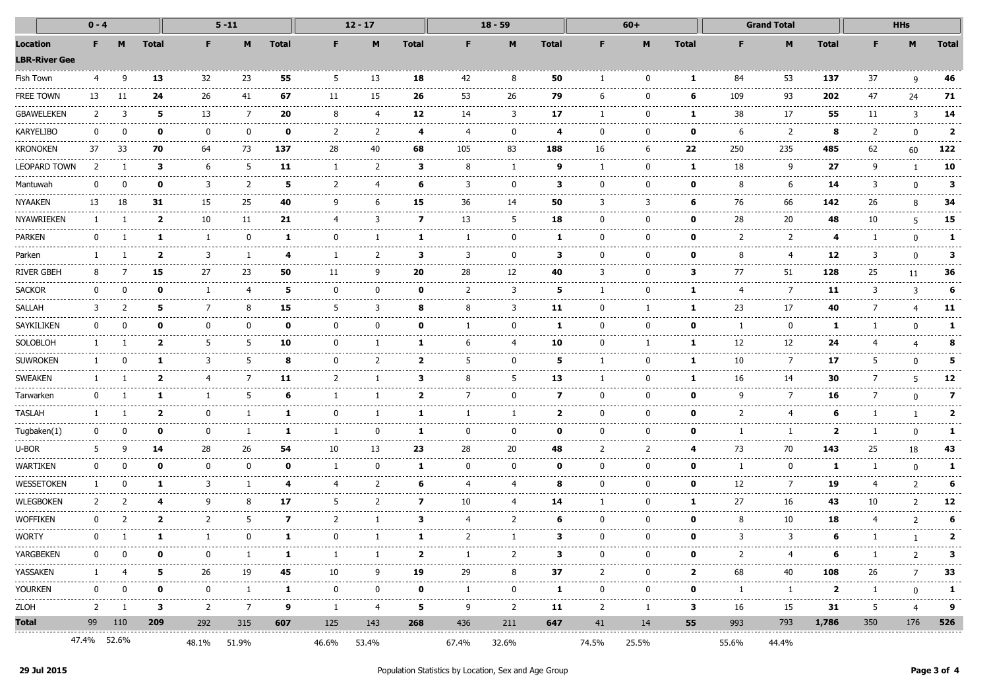|                                  | $0 - 4$        |              |              |               | $5 - 11$                        |                   |              | $12 - 17$        |                   |                    | $18 - 59$                     |              |                | $60+$       |                 |                                                                                                                                                                                                                                                                                                                                                                                                    | <b>Grand Total</b>                                                                                                                                                                                                                                                                                                                                                                                                                                                                           |                  |         | <b>HHs</b>     |                      |  |
|----------------------------------|----------------|--------------|--------------|---------------|---------------------------------|-------------------|--------------|------------------|-------------------|--------------------|-------------------------------|--------------|----------------|-------------|-----------------|----------------------------------------------------------------------------------------------------------------------------------------------------------------------------------------------------------------------------------------------------------------------------------------------------------------------------------------------------------------------------------------------------|----------------------------------------------------------------------------------------------------------------------------------------------------------------------------------------------------------------------------------------------------------------------------------------------------------------------------------------------------------------------------------------------------------------------------------------------------------------------------------------------|------------------|---------|----------------|----------------------|--|
| Location<br><b>LBR-River Gee</b> | F.             |              | <b>Total</b> | F.            | M                               | <b>Total</b>      | F.           | M                | <b>Total</b>      | F                  | M                             | <b>Total</b> | F.             | M           | <b>Total</b>    | F                                                                                                                                                                                                                                                                                                                                                                                                  | M                                                                                                                                                                                                                                                                                                                                                                                                                                                                                            | <b>Total</b>     | F.      | M              | <b>Total</b>         |  |
| Fish Town                        | 4              | q            | 13           | 32            | 23                              | 55                | 5            | 13               | 18                | 42                 | 8                             | 50           |                |             | 1               | 84                                                                                                                                                                                                                                                                                                                                                                                                 | 53                                                                                                                                                                                                                                                                                                                                                                                                                                                                                           | 137              | 37      | q              | 46                   |  |
| FREE TOWN                        | 13             |              | 24           | 26            | 41                              | 67                | 11           | 15               | 26                | 53                 | 26                            | 79           | b              |             | 6               | 109                                                                                                                                                                                                                                                                                                                                                                                                | 93                                                                                                                                                                                                                                                                                                                                                                                                                                                                                           | $- - - -$<br>202 | 47      | -24            | 71                   |  |
| GBAWELEKEN                       | 2              | 3            | 5            | 13            | 7                               | 20                | 8            | 4                | 12                | 14                 | 3                             | 17           | -1             | $\Omega$    | 1               | 38                                                                                                                                                                                                                                                                                                                                                                                                 | 17                                                                                                                                                                                                                                                                                                                                                                                                                                                                                           | 55               | 11      | 3              | 14                   |  |
| KARYELIBO                        | $\Omega$       | $\Omega$     | $\mathbf o$  | $\Omega$      | .<br>$\Omega$                   | 0                 | .<br>2       | <br>2            | 4                 | 4                  | ------------<br>$\Omega$      | 4            | <sup>0</sup>   |             | 0               | -----------<br>6                                                                                                                                                                                                                                                                                                                                                                                   | .<br>2                                                                                                                                                                                                                                                                                                                                                                                                                                                                                       | ------<br>8      | 2       | n              | $\mathbf{2}$         |  |
| Kronoken                         | .<br>37        | ------<br>33 | -----<br>70  | .<br>64       | <br>73                          | .<br>137          | .<br>28      | ----------<br>40 | -----------<br>68 | 105                | -----------------------<br>83 | .<br>188     | 16             |             | ---------<br>22 | .<br>250                                                                                                                                                                                                                                                                                                                                                                                           | .<br>235                                                                                                                                                                                                                                                                                                                                                                                                                                                                                     | <br>485          | 62      | 60             | 122                  |  |
| LEOPARD TOWN                     | $\overline{z}$ |              | 3            | 6             | -5                              | 11                | -1           | 2                | з                 | 8                  | -1                            | 9            |                |             | 1               | 18                                                                                                                                                                                                                                                                                                                                                                                                 | 9                                                                                                                                                                                                                                                                                                                                                                                                                                                                                            | 27               | 9       |                | 10                   |  |
| Mantuwah                         | $\Omega$       | n            | $\mathbf{o}$ | 3             | 2                               | 5                 | 2            | 4                | 6                 | 3                  | $\Omega$                      | 3            | <sup>0</sup>   |             | 0               | 8                                                                                                                                                                                                                                                                                                                                                                                                  | 6                                                                                                                                                                                                                                                                                                                                                                                                                                                                                            | 14               | 3       | $\Omega$       | 3                    |  |
| <b>NYAAKEN</b>                   | 13             | 18           | 31           | -----<br>15   | -----<br>25                     | 40                | 9            | 6                | 15                | -----<br>36        | 14                            | 50           | 3              |             | 6               | $\frac{1}{2} \frac{1}{2} \frac{1}{2} \frac{1}{2} \frac{1}{2} \frac{1}{2} \frac{1}{2} \frac{1}{2} \frac{1}{2} \frac{1}{2} \frac{1}{2} \frac{1}{2} \frac{1}{2} \frac{1}{2} \frac{1}{2} \frac{1}{2} \frac{1}{2} \frac{1}{2} \frac{1}{2} \frac{1}{2} \frac{1}{2} \frac{1}{2} \frac{1}{2} \frac{1}{2} \frac{1}{2} \frac{1}{2} \frac{1}{2} \frac{1}{2} \frac{1}{2} \frac{1}{2} \frac{1}{2} \frac{$<br>76 | -------<br>66                                                                                                                                                                                                                                                                                                                                                                                                                                                                                | -----<br>142     | 26      | 8              | 34                   |  |
| NYAWRIEKEN                       |                |              | $\mathbf{2}$ | .<br>10       | ------<br>11                    | -----------<br>21 | 4            | 3                | 7                 | ------------<br>13 | ----------<br>5               | 18           | ŋ              |             | 0               | 28                                                                                                                                                                                                                                                                                                                                                                                                 | -----------------------<br>20                                                                                                                                                                                                                                                                                                                                                                                                                                                                | -----<br>48      | .<br>10 | 5              | --------------<br>15 |  |
| PARKEN                           |                |              |              |               |                                 | 1                 | 0            |                  | ı                 |                    | 0                             | п.           | 0              |             | o               | 2                                                                                                                                                                                                                                                                                                                                                                                                  | 2                                                                                                                                                                                                                                                                                                                                                                                                                                                                                            | 4                |         | n              | 1.                   |  |
| Parken                           |                |              | $\mathbf{2}$ | 3             |                                 | 4                 | -1           | 2                | з                 | 3                  | $\Omega$                      | 3            | <sup>0</sup>   |             | 0               | 8                                                                                                                                                                                                                                                                                                                                                                                                  | 4                                                                                                                                                                                                                                                                                                                                                                                                                                                                                            | 12               | 3       | ŋ              | 3                    |  |
| river Gbeh                       | 8              |              | 15           | 27            | 23<br>.                         | 50                | 11           | 9                | 20                | 28                 | 12                            | 40           | 3              |             | з               | 77                                                                                                                                                                                                                                                                                                                                                                                                 | 51                                                                                                                                                                                                                                                                                                                                                                                                                                                                                           | 128<br>.         | 25      | 11             | 36                   |  |
| <b>SACKOR</b>                    | <sup>n</sup>   |              | ŋ            |               |                                 | 5                 | <sup>0</sup> | ŋ                | Λ                 | $\mathcal{P}$      | 3                             | 5            |                |             | 1               | 4<br>-------                                                                                                                                                                                                                                                                                                                                                                                       | ---------<br>7<br>$\frac{1}{2} \left( \frac{1}{2} \right) \left( \frac{1}{2} \right) \left( \frac{1}{2} \right) \left( \frac{1}{2} \right) \left( \frac{1}{2} \right) \left( \frac{1}{2} \right) \left( \frac{1}{2} \right) \left( \frac{1}{2} \right) \left( \frac{1}{2} \right) \left( \frac{1}{2} \right) \left( \frac{1}{2} \right) \left( \frac{1}{2} \right) \left( \frac{1}{2} \right) \left( \frac{1}{2} \right) \left( \frac{1}{2} \right) \left( \frac{1}{2} \right) \left( \frac$ | 11               | 3       | 3              |                      |  |
| SALLAH                           | 3              |              | 5            | 7             |                                 | 15                | 5            | 3                | 8                 | 8                  | 3                             | 11           | 0              |             | 1               | 23                                                                                                                                                                                                                                                                                                                                                                                                 | 17                                                                                                                                                                                                                                                                                                                                                                                                                                                                                           | 40               |         |                | 11                   |  |
| SAYKILIKEN                       | 0              | n            | n            | $\Omega$      | $\Omega$                        | 0                 | <sup>0</sup> | 0                | 0                 |                    | <sup>0</sup>                  | 1            | <sup>0</sup>   |             | o               |                                                                                                                                                                                                                                                                                                                                                                                                    | 0                                                                                                                                                                                                                                                                                                                                                                                                                                                                                            | -1               |         |                |                      |  |
| SOLOBLOH                         |                |              | 2            | -5            | 5                               | 10                | 0            |                  | 1.                | -6                 | 4                             | 10           | 0              |             | 1               | 12                                                                                                                                                                                                                                                                                                                                                                                                 | 12<br>---------                                                                                                                                                                                                                                                                                                                                                                                                                                                                              | 24               |         |                |                      |  |
| <b>SUWROKEN</b>                  |                | n            |              | 3             | 5                               | 8                 | n            | 2                | 2                 | 5                  | U                             | 5            |                |             | 1               | 10<br>.                                                                                                                                                                                                                                                                                                                                                                                            | 7<br>--------                                                                                                                                                                                                                                                                                                                                                                                                                                                                                | 17<br>-----      | 5       |                | 5                    |  |
| <b>SWEAKEN</b>                   |                |              | 2            | 4             |                                 | 11                | 2            |                  | з                 | 8                  | 5                             | 13           |                |             | 1               | 16                                                                                                                                                                                                                                                                                                                                                                                                 | 14                                                                                                                                                                                                                                                                                                                                                                                                                                                                                           | 30               |         |                | 12                   |  |
| Tarwarken                        |                |              |              |               | -5                              | 6                 |              |                  | 2                 |                    | <sup>0</sup>                  | 7            | <sup>0</sup>   |             | o               | 9                                                                                                                                                                                                                                                                                                                                                                                                  | 7                                                                                                                                                                                                                                                                                                                                                                                                                                                                                            | 16               |         |                | 7                    |  |
| TASLAH                           |                |              | $\mathbf{2}$ | 0             | -1                              | 1                 | <sup>0</sup> |                  | 1                 |                    | -1                            | $\mathbf{2}$ | 0              |             | 0               | 2                                                                                                                                                                                                                                                                                                                                                                                                  | 4                                                                                                                                                                                                                                                                                                                                                                                                                                                                                            | -6               |         |                |                      |  |
| Tugbaken(1)                      | n              | n            | n            | $\Omega$<br>. | -----                           | 1                 | -1           | 0                | 1                 | $\Omega$<br>.      | <sup>0</sup><br>------        | n            | U              |             | ŋ               |                                                                                                                                                                                                                                                                                                                                                                                                    | -1<br>.                                                                                                                                                                                                                                                                                                                                                                                                                                                                                      | 2                |         |                |                      |  |
| u-bor                            |                |              | 14           | 28            | 26                              | 54                | 10           | 13               | 23                | 28                 | 20                            | 48           | 2              |             |                 | 73                                                                                                                                                                                                                                                                                                                                                                                                 | 70                                                                                                                                                                                                                                                                                                                                                                                                                                                                                           | 143              | 25      | 18             | 43                   |  |
| WARTIKEN                         | 0              | n            | $\Omega$     | $\Omega$      | 0                               | 0                 |              | $\mathbf{0}$     | 1                 | n                  | <sup>0</sup>                  | $\Omega$     | <sup>0</sup>   |             | n               |                                                                                                                                                                                                                                                                                                                                                                                                    | $\mathbf{0}$                                                                                                                                                                                                                                                                                                                                                                                                                                                                                 | -1               |         |                |                      |  |
| WESSETOKEN                       |                | $\Omega$     | 1            | 3             | -1                              | 4                 | 4            | 2                | 6                 | 4                  | 4                             | 8            | 0              |             | 0               | 12                                                                                                                                                                                                                                                                                                                                                                                                 | 7                                                                                                                                                                                                                                                                                                                                                                                                                                                                                            | 19               |         | 2              |                      |  |
| <b>WLEGBOKEN</b>                 | $\mathcal{L}$  |              |              | q             | 8                               | 17                | 5            | 2                | 7                 | 10                 | 4                             | 14           |                |             | 1               | 27                                                                                                                                                                                                                                                                                                                                                                                                 | 16                                                                                                                                                                                                                                                                                                                                                                                                                                                                                           | 43<br>------     | 10      | $\overline{2}$ | 12                   |  |
| Woffiken                         |                |              | 2            | 2             | -5                              | 7                 | 2            |                  | з                 |                    | 2                             | 6            | 0              |             | 0               | 8                                                                                                                                                                                                                                                                                                                                                                                                  | 10                                                                                                                                                                                                                                                                                                                                                                                                                                                                                           | 18               |         | 2              |                      |  |
| Worty                            | 0              |              |              |               | <sup>0</sup>                    | 1                 | 0            |                  | 1.                | $\mathcal{L}$      | -1                            | 3            | $\mathbf{0}$   |             | 0               | 3                                                                                                                                                                                                                                                                                                                                                                                                  | 3                                                                                                                                                                                                                                                                                                                                                                                                                                                                                            | 6                |         |                | 2                    |  |
| YARGBEKEN<br>----------------    | $^{\rm o}$     | 0            | $\mathbf 0$  | $\mathbf{0}$  | -1<br>------------------------- | $\mathbf{1}$      | -1           | <sup>1</sup>     | $\mathbf{2}$<br>. | -1                 | 2                             | 3            | $\mathbf 0$    | $\mathbf 0$ | $\mathbf 0$     | 2<br>--------------------------------------                                                                                                                                                                                                                                                                                                                                                        | 4                                                                                                                                                                                                                                                                                                                                                                                                                                                                                            | 6<br>.           | -1      | 2              | 3.<br>------         |  |
| YASSAKEN                         |                |              | 5.           | 26            | 19                              | 45                | 10           | 9                | 19                | 29                 | 8                             | 37           | 2              | 0           | $\mathbf{2}$    | 68                                                                                                                                                                                                                                                                                                                                                                                                 | 40                                                                                                                                                                                                                                                                                                                                                                                                                                                                                           | 108              | -26     | 7              | 33                   |  |
| YOURKEN                          | 0              | $\Omega$     | $\mathbf{0}$ | $\Omega$      | 1                               | $\mathbf{1}$      | $\Omega$     | $^{\rm o}$       | $\mathbf{0}$      | -1                 | $\Omega$                      | -1           | $\mathbf{0}$   | $^{\circ}$  | $\mathbf{o}$    | 1                                                                                                                                                                                                                                                                                                                                                                                                  | $\mathbf{1}$                                                                                                                                                                                                                                                                                                                                                                                                                                                                                 | $\mathbf{2}$     | -1      | $\Omega$       | 1                    |  |
| ZLOH                             | 2              | 1            | 3            | 2             | 7                               | 9                 | -1           | 4                | 5                 | 9                  | 2                             | 11           | $\overline{2}$ | 1           | 3               | 16                                                                                                                                                                                                                                                                                                                                                                                                 | 15                                                                                                                                                                                                                                                                                                                                                                                                                                                                                           | 31               | 5       | 4              | 9                    |  |
| Total                            |                | 99 110       | 209          | 292           | 315                             | 607               | 125          | 143              | 268               | 436                | 211                           | 647          | 41             | 14          | 55              | 993                                                                                                                                                                                                                                                                                                                                                                                                |                                                                                                                                                                                                                                                                                                                                                                                                                                                                                              | 793 <b>1,786</b> | 350     |                | 176 526              |  |
|                                  | 47.4% 52.6%    |              |              |               | 48.1% 51.9%                     |                   | 46.6%        | 53.4%            |                   | 67.4%              | 32.6%                         |              | 74.5%          | 25.5%       |                 | 55.6%                                                                                                                                                                                                                                                                                                                                                                                              | 44.4%                                                                                                                                                                                                                                                                                                                                                                                                                                                                                        |                  |         |                |                      |  |